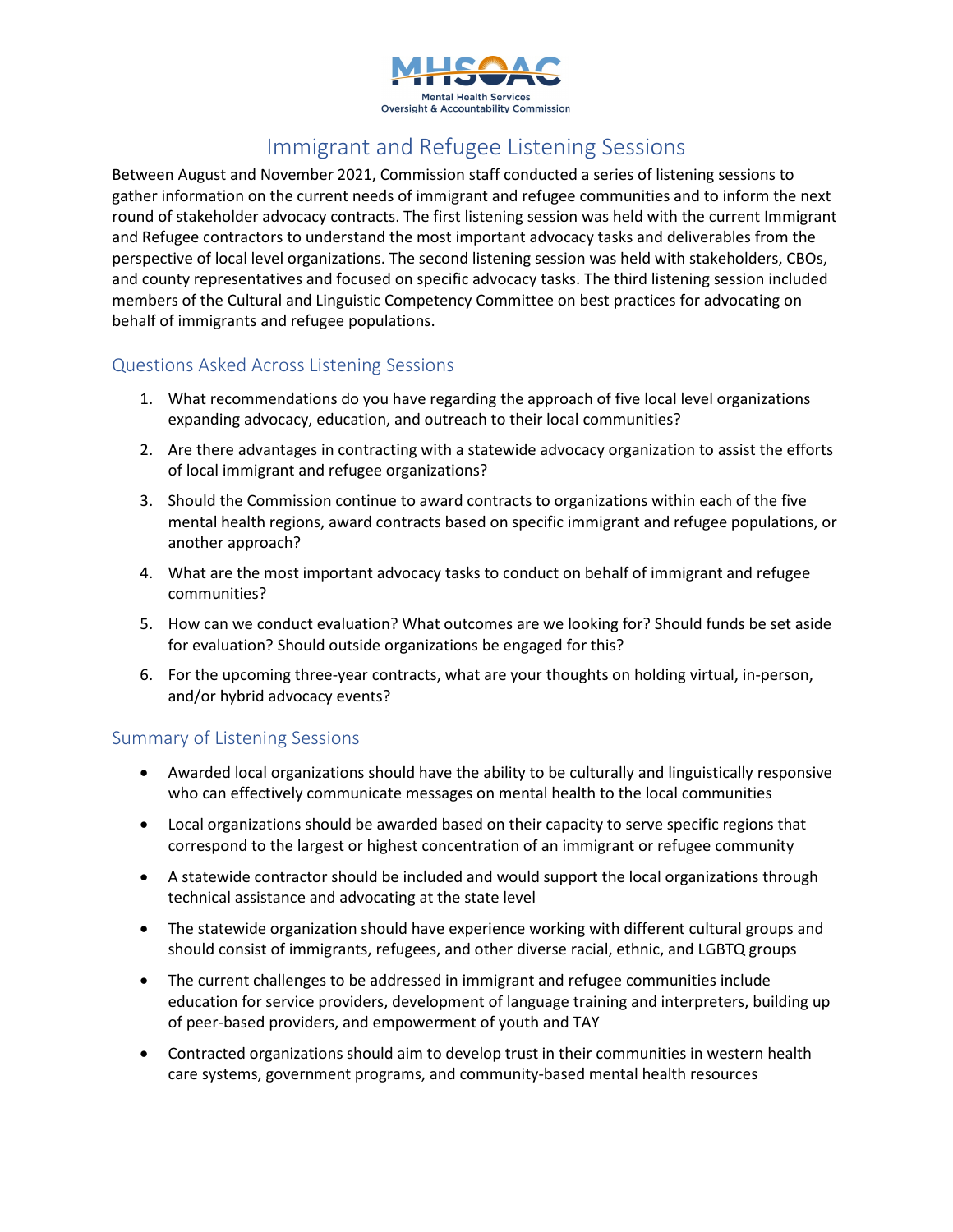

## Immigrant and Refugee Listening Sessions

Between August and November 2021, Commission staff conducted a series of listening sessions to gather information on the current needs of immigrant and refugee communities and to inform the next round of stakeholder advocacy contracts. The first listening session was held with the current Immigrant and Refugee contractors to understand the most important advocacy tasks and deliverables from the perspective of local level organizations. The second listening session was held with stakeholders, CBOs, and county representatives and focused on specific advocacy tasks. The third listening session included members of the Cultural and Linguistic Competency Committee on best practices for advocating on behalf of immigrants and refugee populations.

## Questions Asked Across Listening Sessions

- 1. What recommendations do you have regarding the approach of five local level organizations expanding advocacy, education, and outreach to their local communities?
- 2. Are there advantages in contracting with a statewide advocacy organization to assist the efforts of local immigrant and refugee organizations?
- 3. Should the Commission continue to award contracts to organizations within each of the five mental health regions, award contracts based on specific immigrant and refugee populations, or another approach?
- 4. What are the most important advocacy tasks to conduct on behalf of immigrant and refugee communities?
- 5. How can we conduct evaluation? What outcomes are we looking for? Should funds be set aside for evaluation? Should outside organizations be engaged for this?
- 6. For the upcoming three-year contracts, what are your thoughts on holding virtual, in-person, and/or hybrid advocacy events?

## Summary of Listening Sessions

- Awarded local organizations should have the ability to be culturally and linguistically responsive who can effectively communicate messages on mental health to the local communities
- Local organizations should be awarded based on their capacity to serve specific regions that correspond to the largest or highest concentration of an immigrant or refugee community
- A statewide contractor should be included and would support the local organizations through technical assistance and advocating at the state level
- The statewide organization should have experience working with different cultural groups and should consist of immigrants, refugees, and other diverse racial, ethnic, and LGBTQ groups
- The current challenges to be addressed in immigrant and refugee communities include education for service providers, development of language training and interpreters, building up of peer-based providers, and empowerment of youth and TAY
- Contracted organizations should aim to develop trust in their communities in western health care systems, government programs, and community-based mental health resources